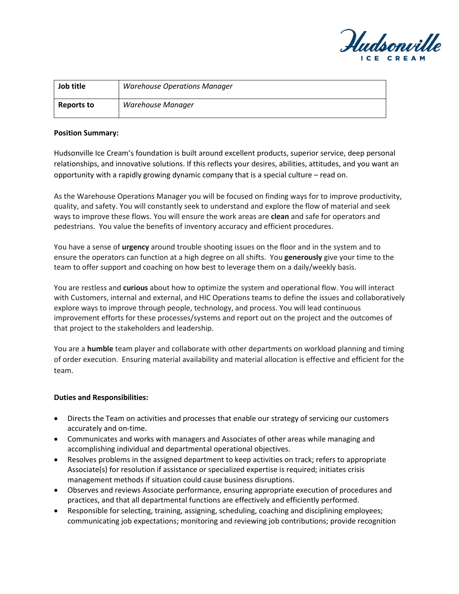

| Job title  | <b>Warehouse Operations Manager</b> |
|------------|-------------------------------------|
| Reports to | Warehouse Manager                   |

### **Position Summary:**

Hudsonville Ice Cream's foundation is built around excellent products, superior service, deep personal relationships, and innovative solutions. If this reflects your desires, abilities, attitudes, and you want an opportunity with a rapidly growing dynamic company that is a special culture – read on.

As the Warehouse Operations Manager you will be focused on finding ways for to improve productivity, quality, and safety. You will constantly seek to understand and explore the flow of material and seek ways to improve these flows. You will ensure the work areas are **clean** and safe for operators and pedestrians. You value the benefits of inventory accuracy and efficient procedures.

You have a sense of **urgency** around trouble shooting issues on the floor and in the system and to ensure the operators can function at a high degree on all shifts. You **generously** give your time to the team to offer support and coaching on how best to leverage them on a daily/weekly basis.

You are restless and **curious** about how to optimize the system and operational flow. You will interact with Customers, internal and external, and HIC Operations teams to define the issues and collaboratively explore ways to improve through people, technology, and process. You will lead continuous improvement efforts for these processes/systems and report out on the project and the outcomes of that project to the stakeholders and leadership.

You are a **humble** team player and collaborate with other departments on workload planning and timing of order execution. Ensuring material availability and material allocation is effective and efficient for the team.

# **Duties and Responsibilities:**

- Directs the Team on activities and processes that enable our strategy of servicing our customers accurately and on-time.
- Communicates and works with managers and Associates of other areas while managing and accomplishing individual and departmental operational objectives.
- Resolves problems in the assigned department to keep activities on track; refers to appropriate Associate(s) for resolution if assistance or specialized expertise is required; initiates crisis management methods if situation could cause business disruptions.
- Observes and reviews Associate performance, ensuring appropriate execution of procedures and practices, and that all departmental functions are effectively and efficiently performed.
- Responsible for selecting, training, assigning, scheduling, coaching and disciplining employees; communicating job expectations; monitoring and reviewing job contributions; provide recognition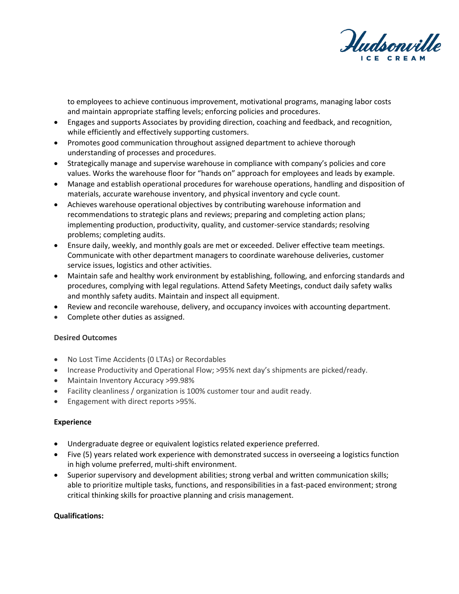

to employees to achieve continuous improvement, motivational programs, managing labor costs and maintain appropriate staffing levels; enforcing policies and procedures.

- Engages and supports Associates by providing direction, coaching and feedback, and recognition, while efficiently and effectively supporting customers.
- Promotes good communication throughout assigned department to achieve thorough understanding of processes and procedures.
- Strategically manage and supervise warehouse in compliance with company's policies and core values. Works the warehouse floor for "hands on" approach for employees and leads by example.
- Manage and establish operational procedures for warehouse operations, handling and disposition of materials, accurate warehouse inventory, and physical inventory and cycle count.
- Achieves warehouse operational objectives by contributing warehouse information and recommendations to strategic plans and reviews; preparing and completing action plans; implementing production, productivity, quality, and customer-service standards; resolving problems; completing audits.
- Ensure daily, weekly, and monthly goals are met or exceeded. Deliver effective team meetings. Communicate with other department managers to coordinate warehouse deliveries, customer service issues, logistics and other activities.
- Maintain safe and healthy work environment by establishing, following, and enforcing standards and procedures, complying with legal regulations. Attend Safety Meetings, conduct daily safety walks and monthly safety audits. Maintain and inspect all equipment.
- Review and reconcile warehouse, delivery, and occupancy invoices with accounting department.
- Complete other duties as assigned.

# **Desired Outcomes**

- No Lost Time Accidents (0 LTAs) or Recordables
- Increase Productivity and Operational Flow; >95% next day's shipments are picked/ready.
- Maintain Inventory Accuracy >99.98%
- Facility cleanliness / organization is 100% customer tour and audit ready.
- Engagement with direct reports >95%.

# **Experience**

- Undergraduate degree or equivalent logistics related experience preferred.
- Five (5) years related work experience with demonstrated success in overseeing a logistics function in high volume preferred, multi-shift environment.
- Superior supervisory and development abilities; strong verbal and written communication skills; able to prioritize multiple tasks, functions, and responsibilities in a fast-paced environment; strong critical thinking skills for proactive planning and crisis management.

# **Qualifications:**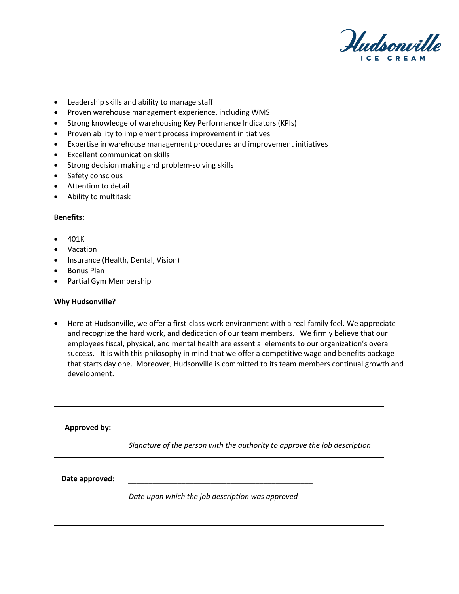

- Leadership skills and ability to manage staff
- Proven warehouse management experience, including WMS
- Strong knowledge of warehousing Key Performance Indicators (KPIs)
- Proven ability to implement process improvement initiatives
- Expertise in warehouse management procedures and improvement initiatives
- Excellent communication skills
- Strong decision making and problem-solving skills
- Safety conscious
- Attention to detail
- Ability to multitask

### **Benefits:**

- 401K
- Vacation
- Insurance (Health, Dental, Vision)
- Bonus Plan
- Partial Gym Membership

### **Why Hudsonville?**

• Here at Hudsonville, we offer a first-class work environment with a real family feel. We appreciate and recognize the hard work, and dedication of our team members. We firmly believe that our employees fiscal, physical, and mental health are essential elements to our organization's overall success. It is with this philosophy in mind that we offer a competitive wage and benefits package that starts day one. Moreover, Hudsonville is committed to its team members continual growth and development.

| <b>Approved by:</b> | Signature of the person with the authority to approve the job description |
|---------------------|---------------------------------------------------------------------------|
| Date approved:      | Date upon which the job description was approved                          |
|                     |                                                                           |